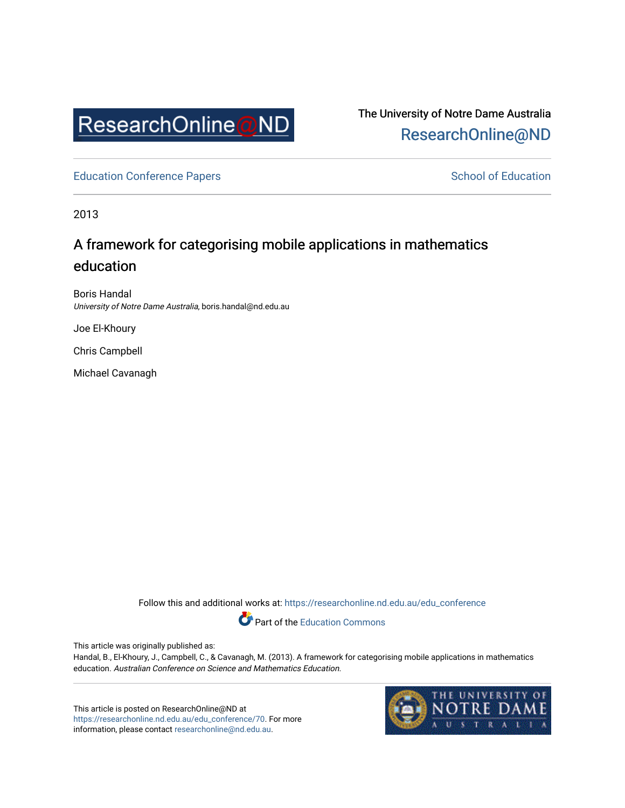

The University of Notre Dame Australia [ResearchOnline@ND](https://researchonline.nd.edu.au/) 

[Education Conference Papers](https://researchonline.nd.edu.au/edu_conference) **School of Education** School of Education

2013

## A framework for categorising mobile applications in mathematics education

Boris Handal University of Notre Dame Australia, boris.handal@nd.edu.au

Joe El-Khoury

Chris Campbell

Michael Cavanagh

Follow this and additional works at: [https://researchonline.nd.edu.au/edu\\_conference](https://researchonline.nd.edu.au/edu_conference?utm_source=researchonline.nd.edu.au%2Fedu_conference%2F70&utm_medium=PDF&utm_campaign=PDFCoverPages)

Part of the [Education Commons](http://network.bepress.com/hgg/discipline/784?utm_source=researchonline.nd.edu.au%2Fedu_conference%2F70&utm_medium=PDF&utm_campaign=PDFCoverPages) 

This article was originally published as:

Handal, B., El-Khoury, J., Campbell, C., & Cavanagh, M. (2013). A framework for categorising mobile applications in mathematics education. Australian Conference on Science and Mathematics Education.

This article is posted on ResearchOnline@ND at [https://researchonline.nd.edu.au/edu\\_conference/70.](https://researchonline.nd.edu.au/edu_conference/70) For more information, please contact [researchonline@nd.edu.au.](mailto:researchonline@nd.edu.au)

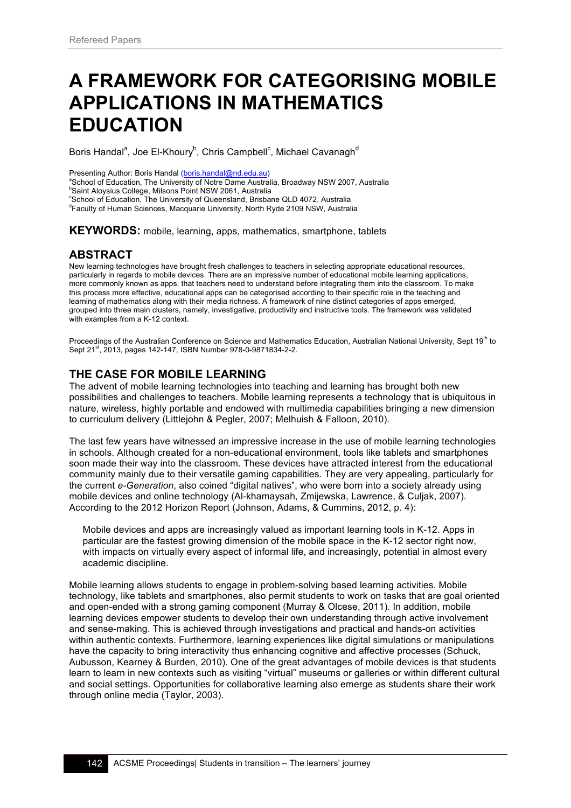# **A FRAMEWORK FOR CATEGORISING MOBILE APPLICATIONS IN MATHEMATICS EDUCATION**

Boris Handal<sup>a</sup>, Joe El-Khoury<sup>b</sup>, Chris Campbell<sup>c</sup>, Michael Cavanagh<sup>d</sup>

Presenting Author: Boris Handal (boris.handal@nd.edu.au)

<sup>a</sup>School of Education, The University of Notre Dame Australia, Broadway NSW 2007, Australia <sup>b</sup>Saint Aloysius College, Milsons Point NSW 2061, Australia

<sup>c</sup>School of Education, The University of Queensland, Brisbane QLD 4072, Australia

d Faculty of Human Sciences, Macquarie University, North Ryde 2109 NSW, Australia

**KEYWORDS:** mobile, learning, apps, mathematics, smartphone, tablets

### **ABSTRACT**

New learning technologies have brought fresh challenges to teachers in selecting appropriate educational resources, particularly in regards to mobile devices. There are an impressive number of educational mobile learning applications, more commonly known as apps, that teachers need to understand before integrating them into the classroom. To make this process more effective, educational apps can be categorised according to their specific role in the teaching and learning of mathematics along with their media richness. A framework of nine distinct categories of apps emerged, grouped into three main clusters, namely, investigative, productivity and instructive tools. The framework was validated with examples from a K-12 context.

Proceedings of the Australian Conference on Science and Mathematics Education, Australian National University, Sept 19<sup>th</sup> to Sept 21<sup>st</sup>, 2013, pages 142-147, ISBN Number 978-0-9871834-2-2.

## **THE CASE FOR MOBILE LEARNING**

The advent of mobile learning technologies into teaching and learning has brought both new possibilities and challenges to teachers. Mobile learning represents a technology that is ubiquitous in nature, wireless, highly portable and endowed with multimedia capabilities bringing a new dimension to curriculum delivery (Littlejohn & Pegler, 2007; Melhuish & Falloon, 2010).

The last few years have witnessed an impressive increase in the use of mobile learning technologies in schools. Although created for a non-educational environment, tools like tablets and smartphones soon made their way into the classroom. These devices have attracted interest from the educational community mainly due to their versatile gaming capabilities. They are very appealing, particularly for the current *e-Generation*, also coined "digital natives", who were born into a society already using mobile devices and online technology (Al-khamaysah, Zmijewska, Lawrence, & Culjak, 2007). According to the 2012 Horizon Report (Johnson, Adams, & Cummins, 2012, p. 4):

Mobile devices and apps are increasingly valued as important learning tools in K-12. Apps in particular are the fastest growing dimension of the mobile space in the K-12 sector right now, with impacts on virtually every aspect of informal life, and increasingly, potential in almost every academic discipline.

Mobile learning allows students to engage in problem-solving based learning activities. Mobile technology, like tablets and smartphones, also permit students to work on tasks that are goal oriented and open-ended with a strong gaming component (Murray & Olcese, 2011). In addition, mobile learning devices empower students to develop their own understanding through active involvement and sense-making. This is achieved through investigations and practical and hands-on activities within authentic contexts. Furthermore, learning experiences like digital simulations or manipulations have the capacity to bring interactivity thus enhancing cognitive and affective processes (Schuck, Aubusson, Kearney & Burden, 2010). One of the great advantages of mobile devices is that students learn to learn in new contexts such as visiting "virtual" museums or galleries or within different cultural and social settings. Opportunities for collaborative learning also emerge as students share their work through online media (Taylor, 2003).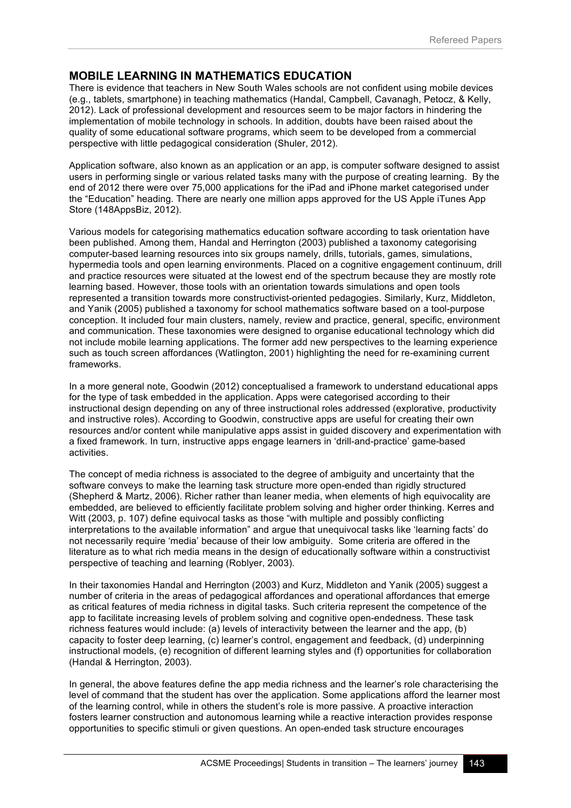## **MOBILE LEARNING IN MATHEMATICS EDUCATION**

There is evidence that teachers in New South Wales schools are not confident using mobile devices (e.g., tablets, smartphone) in teaching mathematics (Handal, Campbell, Cavanagh, Petocz, & Kelly, 2012). Lack of professional development and resources seem to be major factors in hindering the implementation of mobile technology in schools. In addition, doubts have been raised about the quality of some educational software programs, which seem to be developed from a commercial perspective with little pedagogical consideration (Shuler, 2012).

Application software, also known as an application or an app, is computer software designed to assist users in performing single or various related tasks many with the purpose of creating learning. By the end of 2012 there were over 75,000 applications for the iPad and iPhone market categorised under the "Education" heading. There are nearly one million apps approved for the US Apple iTunes App Store (148AppsBiz, 2012).

Various models for categorising mathematics education software according to task orientation have been published. Among them, Handal and Herrington (2003) published a taxonomy categorising computer-based learning resources into six groups namely, drills, tutorials, games, simulations, hypermedia tools and open learning environments. Placed on a cognitive engagement continuum, drill and practice resources were situated at the lowest end of the spectrum because they are mostly rote learning based. However, those tools with an orientation towards simulations and open tools represented a transition towards more constructivist-oriented pedagogies. Similarly, Kurz, Middleton, and Yanik (2005) published a taxonomy for school mathematics software based on a tool-purpose conception. It included four main clusters, namely, review and practice, general, specific, environment and communication. These taxonomies were designed to organise educational technology which did not include mobile learning applications. The former add new perspectives to the learning experience such as touch screen affordances (Watlington, 2001) highlighting the need for re-examining current frameworks.

In a more general note, Goodwin (2012) conceptualised a framework to understand educational apps for the type of task embedded in the application. Apps were categorised according to their instructional design depending on any of three instructional roles addressed (explorative, productivity and instructive roles). According to Goodwin, constructive apps are useful for creating their own resources and/or content while manipulative apps assist in guided discovery and experimentation with a fixed framework. In turn, instructive apps engage learners in 'drill-and-practice' game-based activities.

The concept of media richness is associated to the degree of ambiguity and uncertainty that the software conveys to make the learning task structure more open-ended than rigidly structured (Shepherd & Martz, 2006). Richer rather than leaner media, when elements of high equivocality are embedded, are believed to efficiently facilitate problem solving and higher order thinking. Kerres and Witt (2003, p. 107) define equivocal tasks as those "with multiple and possibly conflicting interpretations to the available information" and argue that unequivocal tasks like 'learning facts' do not necessarily require 'media' because of their low ambiguity. Some criteria are offered in the literature as to what rich media means in the design of educationally software within a constructivist perspective of teaching and learning (Roblyer, 2003).

In their taxonomies Handal and Herrington (2003) and Kurz, Middleton and Yanik (2005) suggest a number of criteria in the areas of pedagogical affordances and operational affordances that emerge as critical features of media richness in digital tasks. Such criteria represent the competence of the app to facilitate increasing levels of problem solving and cognitive open-endedness. These task richness features would include: (a) levels of interactivity between the learner and the app, (b) capacity to foster deep learning, (c) learner's control, engagement and feedback, (d) underpinning instructional models, (e) recognition of different learning styles and (f) opportunities for collaboration (Handal & Herrington, 2003).

In general, the above features define the app media richness and the learner's role characterising the level of command that the student has over the application. Some applications afford the learner most of the learning control, while in others the student's role is more passive. A proactive interaction fosters learner construction and autonomous learning while a reactive interaction provides response opportunities to specific stimuli or given questions. An open-ended task structure encourages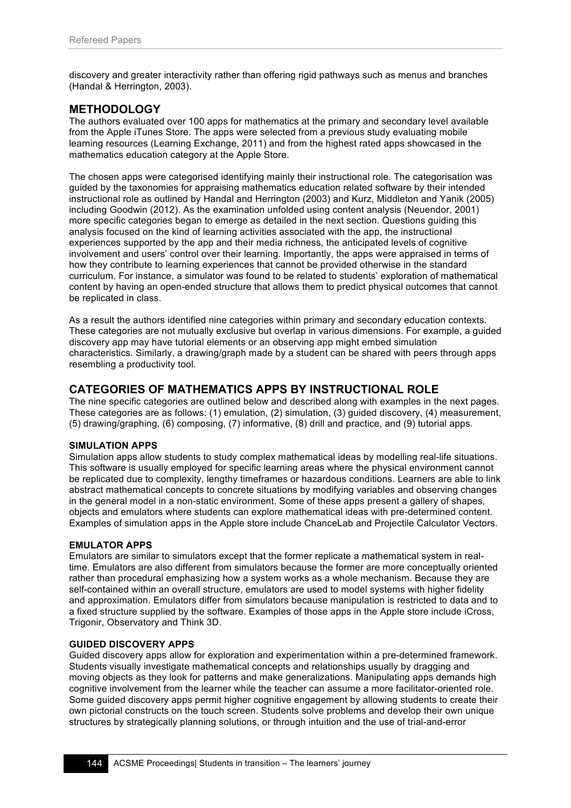discovery and greater interactivity rather than offering rigid pathways such as menus and branches (Handal & Herrington, 2003).

## **METHODOLOGY**

The authors evaluated over 100 apps for mathematics at the primary and secondary level available from the Apple iTunes Store. The apps were selected from a previous study evaluating mobile learning resources (Learning Exchange, 2011) and from the highest rated apps showcased in the mathematics education category at the Apple Store.

The chosen apps were categorised identifying mainly their instructional role. The categorisation was guided by the taxonomies for appraising mathematics education related software by their intended instructional role as outlined by Handal and Herrington (2003) and Kurz, Middleton and Yanik (2005) including Goodwin (2012). As the examination unfolded using content analysis (Neuendor, 2001) more specific categories began to emerge as detailed in the next section. Questions guiding this analysis focused on the kind of learning activities associated with the app, the instructional experiences supported by the app and their media richness, the anticipated levels of cognitive involvement and users' control over their learning. Importantly, the apps were appraised in terms of how they contribute to learning experiences that cannot be provided otherwise in the standard curriculum. For instance, a simulator was found to be related to students' exploration of mathematical content by having an open-ended structure that allows them to predict physical outcomes that cannot be replicated in class.

As a result the authors identified nine categories within primary and secondary education contexts. These categories are not mutually exclusive but overlap in various dimensions. For example, a guided discovery app may have tutorial elements or an observing app might embed simulation characteristics. Similarly, a drawing/graph made by a student can be shared with peers through apps resembling a productivity tool.

## **CATEGORIES OF MATHEMATICS APPS BY INSTRUCTIONAL ROLE**

The nine specific categories are outlined below and described along with examples in the next pages. These categories are as follows: (1) emulation, (2) simulation, (3) guided discovery, (4) measurement, (5) drawing/graphing, (6) composing, (7) informative, (8) drill and practice, and (9) tutorial apps.

#### **SIMULATION APPS**

Simulation apps allow students to study complex mathematical ideas by modelling real-life situations. This software is usually employed for specific learning areas where the physical environment cannot be replicated due to complexity, lengthy timeframes or hazardous conditions. Learners are able to link abstract mathematical concepts to concrete situations by modifying variables and observing changes in the general model in a non-static environment. Some of these apps present a gallery of shapes, objects and emulators where students can explore mathematical ideas with pre-determined content. Examples of simulation apps in the Apple store include ChanceLab and Projectile Calculator Vectors.

#### **EMULATOR APPS**

Emulators are similar to simulators except that the former replicate a mathematical system in realtime. Emulators are also different from simulators because the former are more conceptually oriented rather than procedural emphasizing how a system works as a whole mechanism. Because they are self-contained within an overall structure, emulators are used to model systems with higher fidelity and approximation. Emulators differ from simulators because manipulation is restricted to data and to a fixed structure supplied by the software. Examples of those apps in the Apple store include iCross, Trigonir, Observatory and Think 3D.

#### **GUIDED DISCOVERY APPS**

Guided discovery apps allow for exploration and experimentation within a pre-determined framework. Students visually investigate mathematical concepts and relationships usually by dragging and moving objects as they look for patterns and make generalizations. Manipulating apps demands high cognitive involvement from the learner while the teacher can assume a more facilitator-oriented role. Some guided discovery apps permit higher cognitive engagement by allowing students to create their own pictorial constructs on the touch screen. Students solve problems and develop their own unique structures by strategically planning solutions, or through intuition and the use of trial-and-error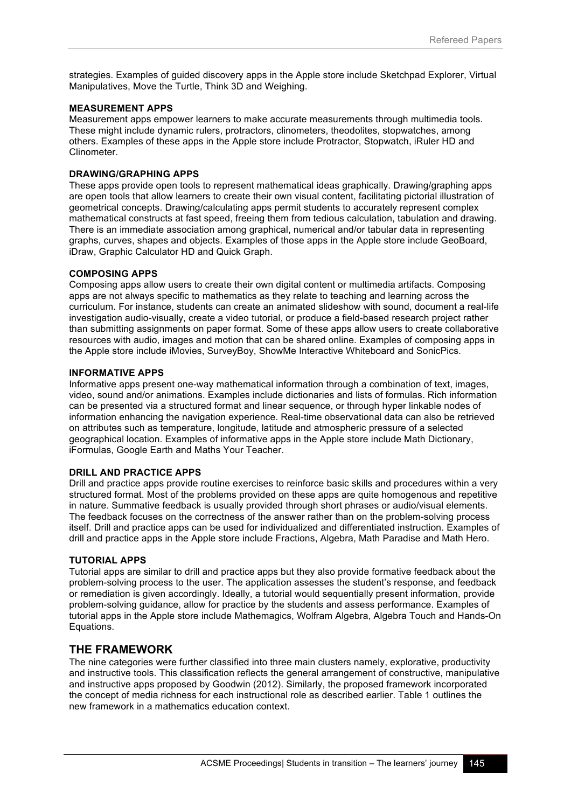strategies. Examples of guided discovery apps in the Apple store include Sketchpad Explorer, Virtual Manipulatives, Move the Turtle, Think 3D and Weighing.

#### **MEASUREMENT APPS**

Measurement apps empower learners to make accurate measurements through multimedia tools. These might include dynamic rulers, protractors, clinometers, theodolites, stopwatches, among others. Examples of these apps in the Apple store include Protractor, Stopwatch, iRuler HD and Clinometer.

#### **DRAWING/GRAPHING APPS**

These apps provide open tools to represent mathematical ideas graphically. Drawing/graphing apps are open tools that allow learners to create their own visual content, facilitating pictorial illustration of geometrical concepts. Drawing/calculating apps permit students to accurately represent complex mathematical constructs at fast speed, freeing them from tedious calculation, tabulation and drawing. There is an immediate association among graphical, numerical and/or tabular data in representing graphs, curves, shapes and objects. Examples of those apps in the Apple store include GeoBoard, iDraw, Graphic Calculator HD and Quick Graph.

#### **COMPOSING APPS**

Composing apps allow users to create their own digital content or multimedia artifacts. Composing apps are not always specific to mathematics as they relate to teaching and learning across the curriculum. For instance, students can create an animated slideshow with sound, document a real-life investigation audio-visually, create a video tutorial, or produce a field-based research project rather than submitting assignments on paper format. Some of these apps allow users to create collaborative resources with audio, images and motion that can be shared online. Examples of composing apps in the Apple store include iMovies, SurveyBoy, ShowMe Interactive Whiteboard and SonicPics.

#### **INFORMATIVE APPS**

Informative apps present one-way mathematical information through a combination of text, images, video, sound and/or animations. Examples include dictionaries and lists of formulas. Rich information can be presented via a structured format and linear sequence, or through hyper linkable nodes of information enhancing the navigation experience. Real-time observational data can also be retrieved on attributes such as temperature, longitude, latitude and atmospheric pressure of a selected geographical location. Examples of informative apps in the Apple store include Math Dictionary, iFormulas, Google Earth and Maths Your Teacher.

#### **DRILL AND PRACTICE APPS**

Drill and practice apps provide routine exercises to reinforce basic skills and procedures within a very structured format. Most of the problems provided on these apps are quite homogenous and repetitive in nature. Summative feedback is usually provided through short phrases or audio/visual elements. The feedback focuses on the correctness of the answer rather than on the problem-solving process itself. Drill and practice apps can be used for individualized and differentiated instruction. Examples of drill and practice apps in the Apple store include Fractions, Algebra, Math Paradise and Math Hero.

#### **TUTORIAL APPS**

Tutorial apps are similar to drill and practice apps but they also provide formative feedback about the problem-solving process to the user. The application assesses the student's response, and feedback or remediation is given accordingly. Ideally, a tutorial would sequentially present information, provide problem-solving guidance, allow for practice by the students and assess performance. Examples of tutorial apps in the Apple store include Mathemagics, Wolfram Algebra, Algebra Touch and Hands-On Equations.

#### **THE FRAMEWORK**

The nine categories were further classified into three main clusters namely, explorative, productivity and instructive tools. This classification reflects the general arrangement of constructive, manipulative and instructive apps proposed by Goodwin (2012). Similarly, the proposed framework incorporated the concept of media richness for each instructional role as described earlier. Table 1 outlines the new framework in a mathematics education context.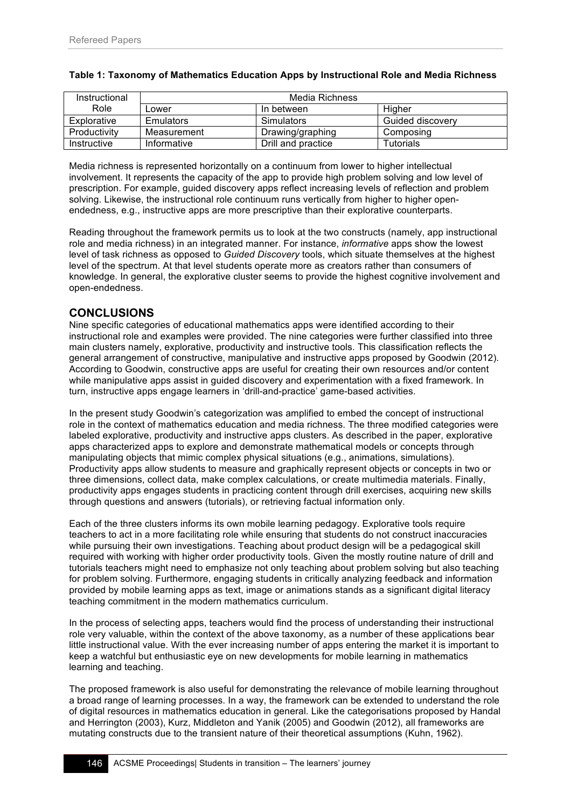| Instructional |             | Media Richness     |                  |
|---------------|-------------|--------------------|------------------|
| Role          | Lower       | In between         | Higher           |
| Explorative   | Emulators   | <b>Simulators</b>  | Guided discovery |
| Productivity  | Measurement | Drawing/graphing   | Composing        |
| Instructive   | Informative | Drill and practice | Tutorials        |

#### **Table 1: Taxonomy of Mathematics Education Apps by Instructional Role and Media Richness**

Media richness is represented horizontally on a continuum from lower to higher intellectual involvement. It represents the capacity of the app to provide high problem solving and low level of prescription. For example, guided discovery apps reflect increasing levels of reflection and problem solving. Likewise, the instructional role continuum runs vertically from higher to higher openendedness, e.g., instructive apps are more prescriptive than their explorative counterparts.

Reading throughout the framework permits us to look at the two constructs (namely, app instructional role and media richness) in an integrated manner. For instance, *informative* apps show the lowest level of task richness as opposed to *Guided Discovery* tools, which situate themselves at the highest level of the spectrum. At that level students operate more as creators rather than consumers of knowledge. In general, the explorative cluster seems to provide the highest cognitive involvement and open-endedness.

## **CONCLUSIONS**

Nine specific categories of educational mathematics apps were identified according to their instructional role and examples were provided. The nine categories were further classified into three main clusters namely, explorative, productivity and instructive tools. This classification reflects the general arrangement of constructive, manipulative and instructive apps proposed by Goodwin (2012). According to Goodwin, constructive apps are useful for creating their own resources and/or content while manipulative apps assist in guided discovery and experimentation with a fixed framework. In turn, instructive apps engage learners in 'drill-and-practice' game-based activities.

In the present study Goodwin's categorization was amplified to embed the concept of instructional role in the context of mathematics education and media richness. The three modified categories were labeled explorative, productivity and instructive apps clusters. As described in the paper, explorative apps characterized apps to explore and demonstrate mathematical models or concepts through manipulating objects that mimic complex physical situations (e.g., animations, simulations). Productivity apps allow students to measure and graphically represent objects or concepts in two or three dimensions, collect data, make complex calculations, or create multimedia materials. Finally, productivity apps engages students in practicing content through drill exercises, acquiring new skills through questions and answers (tutorials), or retrieving factual information only.

Each of the three clusters informs its own mobile learning pedagogy. Explorative tools require teachers to act in a more facilitating role while ensuring that students do not construct inaccuracies while pursuing their own investigations. Teaching about product design will be a pedagogical skill required with working with higher order productivity tools. Given the mostly routine nature of drill and tutorials teachers might need to emphasize not only teaching about problem solving but also teaching for problem solving. Furthermore, engaging students in critically analyzing feedback and information provided by mobile learning apps as text, image or animations stands as a significant digital literacy teaching commitment in the modern mathematics curriculum.

In the process of selecting apps, teachers would find the process of understanding their instructional role very valuable, within the context of the above taxonomy, as a number of these applications bear little instructional value. With the ever increasing number of apps entering the market it is important to keep a watchful but enthusiastic eye on new developments for mobile learning in mathematics learning and teaching.

The proposed framework is also useful for demonstrating the relevance of mobile learning throughout a broad range of learning processes. In a way, the framework can be extended to understand the role of digital resources in mathematics education in general. Like the categorisations proposed by Handal and Herrington (2003), Kurz, Middleton and Yanik (2005) and Goodwin (2012), all frameworks are mutating constructs due to the transient nature of their theoretical assumptions (Kuhn, 1962).